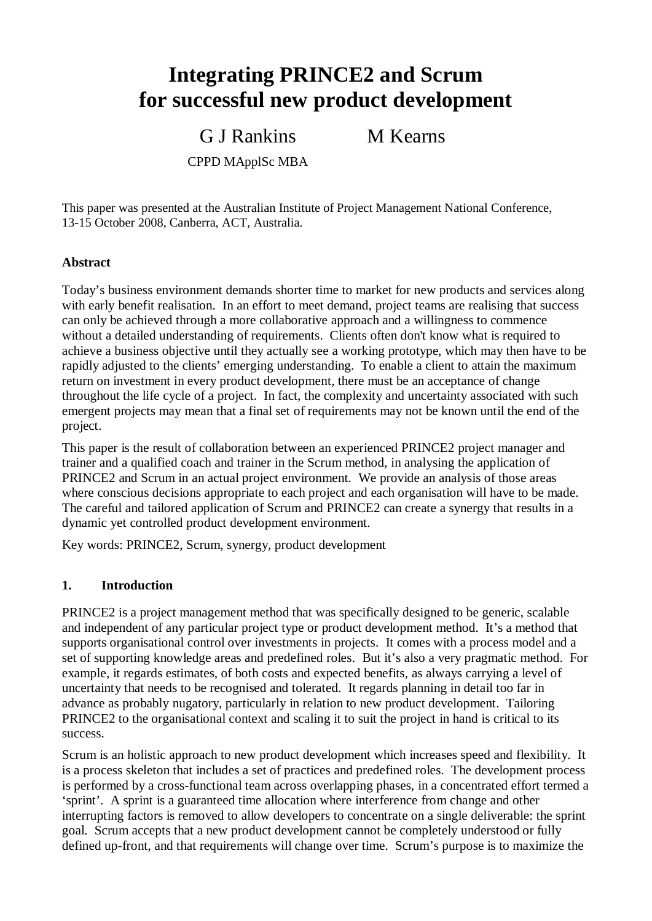# **Integrating PRINCE2 and Scrum for successful new product development**

G J Rankins

M Kearns

CPPD MApplSc MBA

This paper was presented at the Australian Institute of Project Management National Conference, 13-15 October 2008, Canberra, ACT, Australia.

#### **Abstract**

Today's business environment demands shorter time to market for new products and services along with early benefit realisation. In an effort to meet demand, project teams are realising that success can only be achieved through a more collaborative approach and a willingness to commence without a detailed understanding of requirements. Clients often don't know what is required to achieve a business objective until they actually see a working prototype, which may then have to be rapidly adjusted to the clients' emerging understanding. To enable a client to attain the maximum return on investment in every product development, there must be an acceptance of change throughout the life cycle of a project. In fact, the complexity and uncertainty associated with such emergent projects may mean that a final set of requirements may not be known until the end of the project.

This paper is the result of collaboration between an experienced PRINCE2 project manager and trainer and a qualified coach and trainer in the Scrum method, in analysing the application of PRINCE2 and Scrum in an actual project environment. We provide an analysis of those areas where conscious decisions appropriate to each project and each organisation will have to be made. The careful and tailored application of Scrum and PRINCE2 can create a synergy that results in a dynamic yet controlled product development environment.

Key words: PRINCE2, Scrum, synergy, product development

#### **1. Introduction**

PRINCE2 is a project management method that was specifically designed to be generic, scalable and independent of any particular project type or product development method. It's a method that supports organisational control over investments in projects. It comes with a process model and a set of supporting knowledge areas and predefined roles. But it's also a very pragmatic method. For example, it regards estimates, of both costs and expected benefits, as always carrying a level of uncertainty that needs to be recognised and tolerated. It regards planning in detail too far in advance as probably nugatory, particularly in relation to new product development. Tailoring PRINCE2 to the organisational context and scaling it to suit the project in hand is critical to its success.

Scrum is an holistic approach to new product development which increases speed and flexibility. It is a process skeleton that includes a set of practices and predefined roles. The development process is performed by a cross-functional team across overlapping phases, in a concentrated effort termed a 'sprint'. A sprint is a guaranteed time allocation where interference from change and other interrupting factors is removed to allow developers to concentrate on a single deliverable: the sprint goal. Scrum accepts that a new product development cannot be completely understood or fully defined up-front, and that requirements will change over time. Scrum's purpose is to maximize the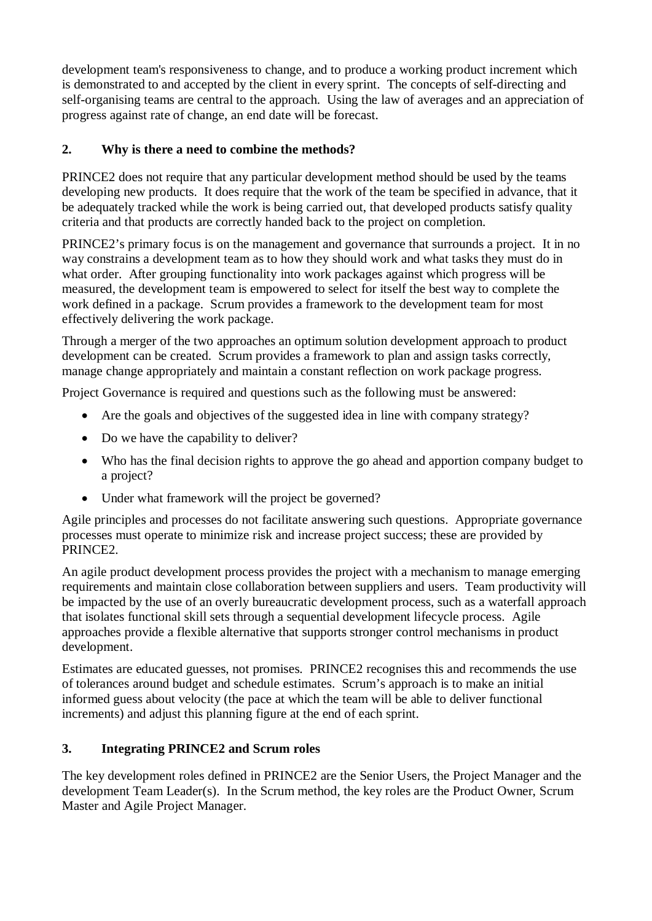development team's responsiveness to change, and to produce a working product increment which is demonstrated to and accepted by the client in every sprint. The concepts of self-directing and self-organising teams are central to the approach. Using the law of averages and an appreciation of progress against rate of change, an end date will be forecast.

# **2. Why is there a need to combine the methods?**

PRINCE2 does not require that any particular development method should be used by the teams developing new products. It does require that the work of the team be specified in advance, that it be adequately tracked while the work is being carried out, that developed products satisfy quality criteria and that products are correctly handed back to the project on completion.

PRINCE2's primary focus is on the management and governance that surrounds a project. It in no way constrains a development team as to how they should work and what tasks they must do in what order. After grouping functionality into work packages against which progress will be measured, the development team is empowered to select for itself the best way to complete the work defined in a package. Scrum provides a framework to the development team for most effectively delivering the work package.

Through a merger of the two approaches an optimum solution development approach to product development can be created. Scrum provides a framework to plan and assign tasks correctly, manage change appropriately and maintain a constant reflection on work package progress.

Project Governance is required and questions such as the following must be answered:

- $\bullet$  Are the goals and objectives of the suggested idea in line with company strategy?
- $\bullet$  Do we have the capability to deliver?
- Who has the final decision rights to approve the go ahead and apportion company budget to a project?
- Under what framework will the project be governed?

Agile principles and processes do not facilitate answering such questions. Appropriate governance processes must operate to minimize risk and increase project success; these are provided by PRINCE2.

An agile product development process provides the project with a mechanism to manage emerging requirements and maintain close collaboration between suppliers and users. Team productivity will be impacted by the use of an overly bureaucratic development process, such as a waterfall approach that isolates functional skill sets through a sequential development lifecycle process. Agile approaches provide a flexible alternative that supports stronger control mechanisms in product development.

Estimates are educated guesses, not promises. PRINCE2 recognises this and recommends the use of tolerances around budget and schedule estimates. Scrum's approach is to make an initial informed guess about velocity (the pace at which the team will be able to deliver functional increments) and adjust this planning figure at the end of each sprint.

# **3. Integrating PRINCE2 and Scrum roles**

The key development roles defined in PRINCE2 are the Senior Users, the Project Manager and the development Team Leader(s). In the Scrum method, the key roles are the Product Owner, Scrum Master and Agile Project Manager.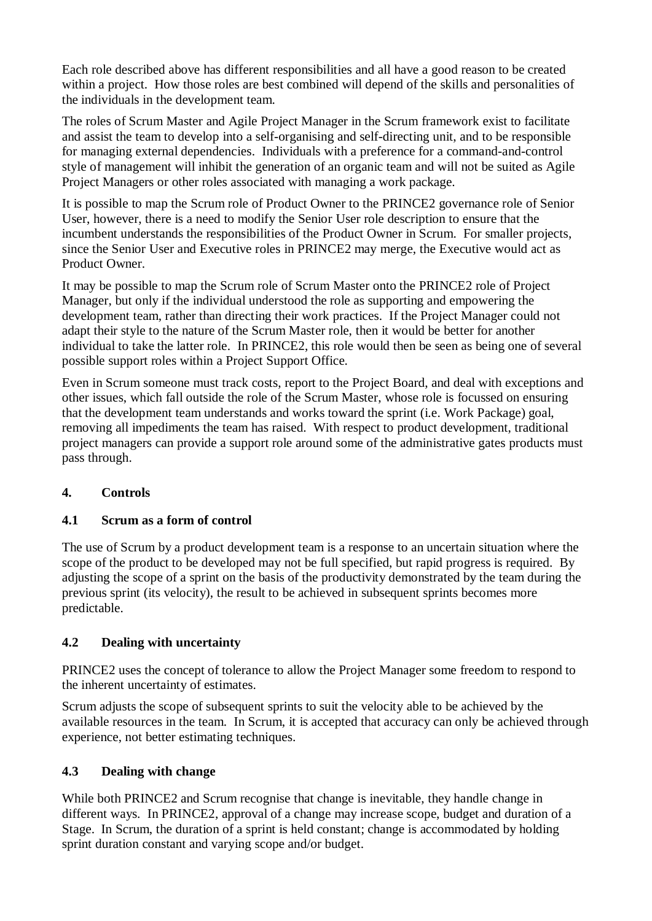Each role described above has different responsibilities and all have a good reason to be created within a project. How those roles are best combined will depend of the skills and personalities of the individuals in the development team.

The roles of Scrum Master and Agile Project Manager in the Scrum framework exist to facilitate and assist the team to develop into a self-organising and self-directing unit, and to be responsible for managing external dependencies. Individuals with a preference for a command-and-control style of management will inhibit the generation of an organic team and will not be suited as Agile Project Managers or other roles associated with managing a work package.

It is possible to map the Scrum role of Product Owner to the PRINCE2 governance role of Senior User, however, there is a need to modify the Senior User role description to ensure that the incumbent understands the responsibilities of the Product Owner in Scrum. For smaller projects, since the Senior User and Executive roles in PRINCE2 may merge, the Executive would act as Product Owner.

It may be possible to map the Scrum role of Scrum Master onto the PRINCE2 role of Project Manager, but only if the individual understood the role as supporting and empowering the development team, rather than directing their work practices. If the Project Manager could not adapt their style to the nature of the Scrum Master role, then it would be better for another individual to take the latter role. In PRINCE2, this role would then be seen as being one of several possible support roles within a Project Support Office.

Even in Scrum someone must track costs, report to the Project Board, and deal with exceptions and other issues, which fall outside the role of the Scrum Master, whose role is focussed on ensuring that the development team understands and works toward the sprint (i.e. Work Package) goal, removing all impediments the team has raised. With respect to product development, traditional project managers can provide a support role around some of the administrative gates products must pass through.

## **4. Controls**

# **4.1 Scrum as a form of control**

The use of Scrum by a product development team is a response to an uncertain situation where the scope of the product to be developed may not be full specified, but rapid progress is required. By adjusting the scope of a sprint on the basis of the productivity demonstrated by the team during the previous sprint (its velocity), the result to be achieved in subsequent sprints becomes more predictable.

# **4.2 Dealing with uncertainty**

PRINCE2 uses the concept of tolerance to allow the Project Manager some freedom to respond to the inherent uncertainty of estimates.

Scrum adjusts the scope of subsequent sprints to suit the velocity able to be achieved by the available resources in the team. In Scrum, it is accepted that accuracy can only be achieved through experience, not better estimating techniques.

## **4.3 Dealing with change**

While both PRINCE2 and Scrum recognise that change is inevitable, they handle change in different ways. In PRINCE2, approval of a change may increase scope, budget and duration of a Stage. In Scrum, the duration of a sprint is held constant; change is accommodated by holding sprint duration constant and varying scope and/or budget.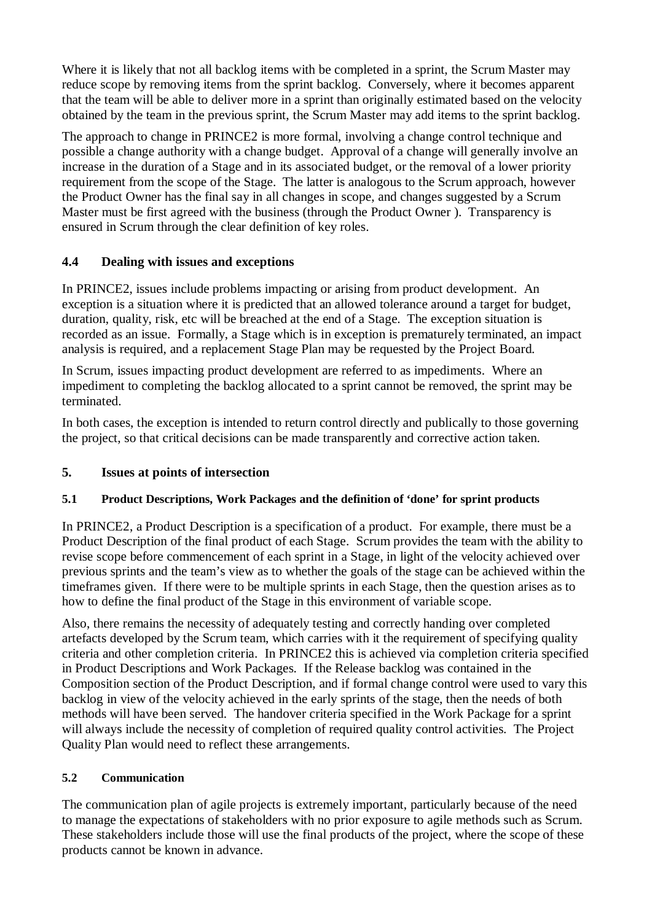Where it is likely that not all backlog items with be completed in a sprint, the Scrum Master may reduce scope by removing items from the sprint backlog. Conversely, where it becomes apparent that the team will be able to deliver more in a sprint than originally estimated based on the velocity obtained by the team in the previous sprint, the Scrum Master may add items to the sprint backlog.

The approach to change in PRINCE2 is more formal, involving a change control technique and possible a change authority with a change budget. Approval of a change will generally involve an increase in the duration of a Stage and in its associated budget, or the removal of a lower priority requirement from the scope of the Stage. The latter is analogous to the Scrum approach, however the Product Owner has the final say in all changes in scope, and changes suggested by a Scrum Master must be first agreed with the business (through the Product Owner ). Transparency is ensured in Scrum through the clear definition of key roles.

# **4.4 Dealing with issues and exceptions**

In PRINCE2, issues include problems impacting or arising from product development. An exception is a situation where it is predicted that an allowed tolerance around a target for budget, duration, quality, risk, etc will be breached at the end of a Stage. The exception situation is recorded as an issue. Formally, a Stage which is in exception is prematurely terminated, an impact analysis is required, and a replacement Stage Plan may be requested by the Project Board.

In Scrum, issues impacting product development are referred to as impediments. Where an impediment to completing the backlog allocated to a sprint cannot be removed, the sprint may be terminated.

In both cases, the exception is intended to return control directly and publically to those governing the project, so that critical decisions can be made transparently and corrective action taken.

# **5. Issues at points of intersection**

## **5.1 Product Descriptions, Work Packages and the definition of 'done' for sprint products**

In PRINCE2, a Product Description is a specification of a product. For example, there must be a Product Description of the final product of each Stage. Scrum provides the team with the ability to revise scope before commencement of each sprint in a Stage, in light of the velocity achieved over previous sprints and the team's view as to whether the goals of the stage can be achieved within the timeframes given. If there were to be multiple sprints in each Stage, then the question arises as to how to define the final product of the Stage in this environment of variable scope.

Also, there remains the necessity of adequately testing and correctly handing over completed artefacts developed by the Scrum team, which carries with it the requirement of specifying quality criteria and other completion criteria. In PRINCE2 this is achieved via completion criteria specified in Product Descriptions and Work Packages. If the Release backlog was contained in the Composition section of the Product Description, and if formal change control were used to vary this backlog in view of the velocity achieved in the early sprints of the stage, then the needs of both methods will have been served. The handover criteria specified in the Work Package for a sprint will always include the necessity of completion of required quality control activities. The Project Quality Plan would need to reflect these arrangements.

## **5.2 Communication**

The communication plan of agile projects is extremely important, particularly because of the need to manage the expectations of stakeholders with no prior exposure to agile methods such as Scrum. These stakeholders include those will use the final products of the project, where the scope of these products cannot be known in advance.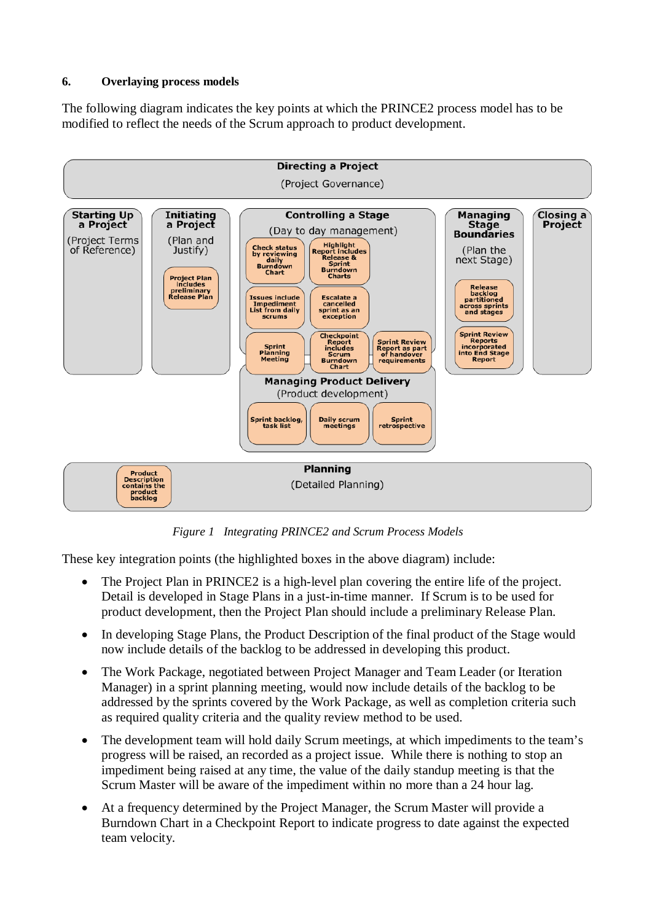#### **6. Overlaying process models**

The following diagram indicates the key points at which the PRINCE2 process model has to be modified to reflect the needs of the Scrum approach to product development.



*Figure 1 Integrating PRINCE2 and Scrum Process Models* 

These key integration points (the highlighted boxes in the above diagram) include:

- $\bullet$  The Project Plan in PRINCE2 is a high-level plan covering the entire life of the project. Detail is developed in Stage Plans in a just-in-time manner. If Scrum is to be used for product development, then the Project Plan should include a preliminary Release Plan.
- In developing Stage Plans, the Product Description of the final product of the Stage would now include details of the backlog to be addressed in developing this product.
- The Work Package, negotiated between Project Manager and Team Leader (or Iteration Manager) in a sprint planning meeting, would now include details of the backlog to be addressed by the sprints covered by the Work Package, as well as completion criteria such as required quality criteria and the quality review method to be used.
- The development team will hold daily Scrum meetings, at which impediments to the team's progress will be raised, an recorded as a project issue. While there is nothing to stop an impediment being raised at any time, the value of the daily standup meeting is that the Scrum Master will be aware of the impediment within no more than a 24 hour lag.
- At a frequency determined by the Project Manager, the Scrum Master will provide a Burndown Chart in a Checkpoint Report to indicate progress to date against the expected team velocity.